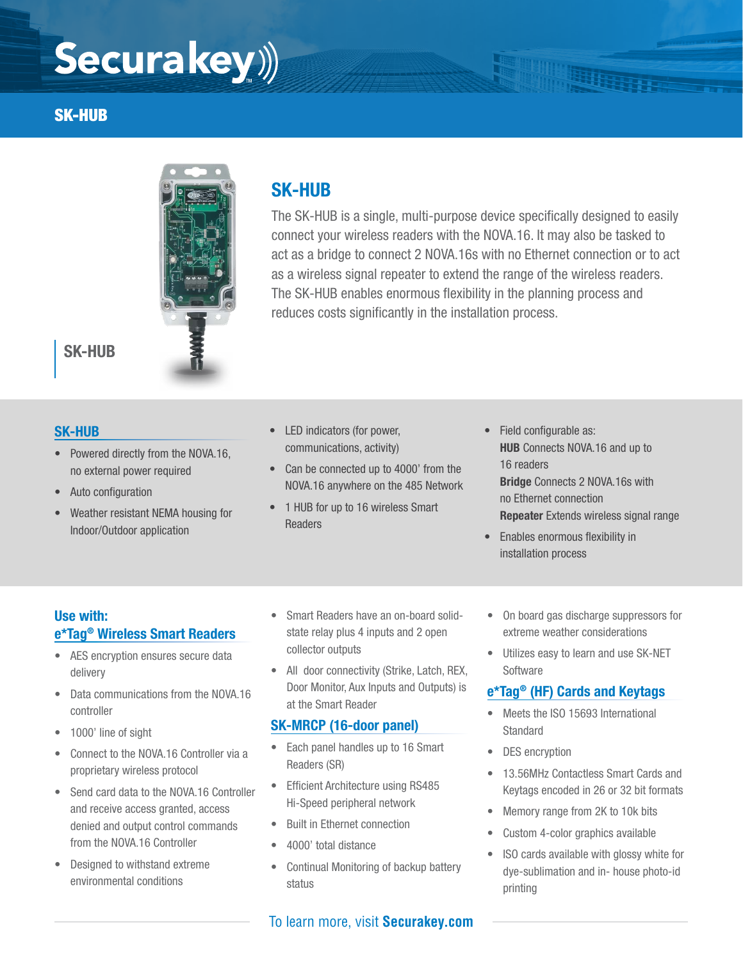# Securakey))

#### SK-HUB



### SK-HUB

#### SK-HUB

- Powered directly from the NOVA.16, no external power required
- Auto configuration
- Weather resistant NEMA housing for Indoor/Outdoor application
- LED indicators (for power, communications, activity)

SK-HUB

• Can be connected up to 4000' from the NOVA.16 anywhere on the 485 Network

reduces costs significantly in the installation process.

- 1 HUB for up to 16 wireless Smart Readers
- Field configurable as: HUB Connects NOVA.16 and up to 16 readers Bridge Connects 2 NOVA.16s with no Ethernet connection Repeater Extends wireless signal range
- Enables enormous flexibility in installation process

The SK-HUB is a single, multi-purpose device specifically designed to easily connect your wireless readers with the NOVA.16. It may also be tasked to act as a bridge to connect 2 NOVA.16s with no Ethernet connection or to act as a wireless signal repeater to extend the range of the wireless readers. The SK-HUB enables enormous flexibility in the planning process and

#### Use with: e\*Tag® Wireless Smart Readers

- AES encryption ensures secure data delivery
- Data communications from the NOVA.16 controller
- 1000' line of sight
- Connect to the NOVA.16 Controller via a proprietary wireless protocol
- Send card data to the NOVA.16 Controller and receive access granted, access denied and output control commands from the NOVA.16 Controller
- Designed to withstand extreme environmental conditions
- Smart Readers have an on-board solidstate relay plus 4 inputs and 2 open collector outputs
- All door connectivity (Strike, Latch, REX, Door Monitor, Aux Inputs and Outputs) is at the Smart Reader

#### SK-MRCP (16-door panel)

- Each panel handles up to 16 Smart Readers (SR)
- Efficient Architecture using RS485 Hi-Speed peripheral network
- Built in Ethernet connection
- 4000' total distance
- Continual Monitoring of backup battery status

#### To learn more, visit **Securakey.com**

- On board gas discharge suppressors for extreme weather considerations
- Utilizes easy to learn and use SK-NET **Software**

#### e\*Tag® (HF) Cards and Keytags

- Meets the ISO 15693 International Standard
- DES encryption
- 13.56MHz Contactless Smart Cards and Keytags encoded in 26 or 32 bit formats
- Memory range from 2K to 10k bits
- Custom 4-color graphics available
- ISO cards available with glossy white for dye-sublimation and in- house photo-id printing